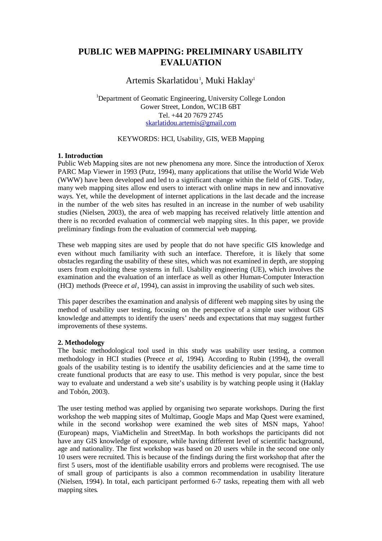# **PUBLIC WEB MAPPING: PRELIMINARY USABILITY EVALUATION**

## Artemis Skarlatidou<sup>1</sup>, Muki Haklay<sup>1</sup>

<sup>1</sup>Department of Geomatic Engineering, University College London Gower Street, London, WC1B 6BT Tel. +44 20 7679 2745 [skarlatidou.artemis@gmail.com](mailto:skarlatidou.artemis@gmail.com)

## KEYWORDS: HCI, Usability, GIS, WEB Mapping

## **1. Introduction**

Public Web Mapping sites are not new phenomena any more. Since the introduction of Xerox PARC Map Viewer in 1993 (Putz, 1994), many applications that utilise the World Wide Web (WWW) have been developed and led to a significant change within the field of GIS. Today, many web mapping sites allow end users to interact with online maps in new and innovative ways. Yet, while the development of internet applications in the last decade and the increase in the number of the web sites has resulted in an increase in the number of web usability studies (Nielsen, 2003), the area of web mapping has received relatively little attention and there is no recorded evaluation of commercial web mapping sites. In this paper, we provide preliminary findings from the evaluation of commercial web mapping.

These web mapping sites are used by people that do not have specific GIS knowledge and even without much familiarity with such an interface. Therefore, it is likely that some obstacles regarding the usability of these sites, which was not examined in depth, are stopping users from exploiting these systems in full. Usability engineering (UE), which involves the examination and the evaluation of an interface as well as other Human-Computer Interaction (HCI) methods (Preece *et al*, 1994), can assist in improving the usability of such web sites.

This paper describes the examination and analysis of different web mapping sites by using the method of usability user testing, focusing on the perspective of a simple user without GIS knowledge and attempts to identify the users' needs and expectations that may suggest further improvements of these systems.

## **2. Methodology**

The basic methodological tool used in this study was usability user testing, a common methodology in HCI studies (Preece *et al*, 1994). According to Rubin (1994), the overall goals of the usability testing is to identify the usability deficiencies and at the same time to create functional products that are easy to use. This method is very popular, since the best way to evaluate and understand a web site's usability is by watching people using it (Haklay and Tobón, 2003).

The user testing method was applied by organising two separate workshops. During the first workshop the web mapping sites of Multimap, Google Maps and Map Quest were examined, while in the second workshop were examined the web sites of MSN maps, Yahoo! (European) maps, ViaMichelin and StreetMap. In both workshops the participants did not have any GIS knowledge of exposure, while having different level of scientific background, age and nationality. The first workshop was based on 20 users while in the second one only 10 users were recruited. This is because of the findings during the first workshop that after the first 5 users, most of the identifiable usability errors and problems were recognised. The use of small group of participants is also a common recommendation in usability literature (Nielsen, 1994). In total, each participant performed 6-7 tasks, repeating them with all web mapping sites.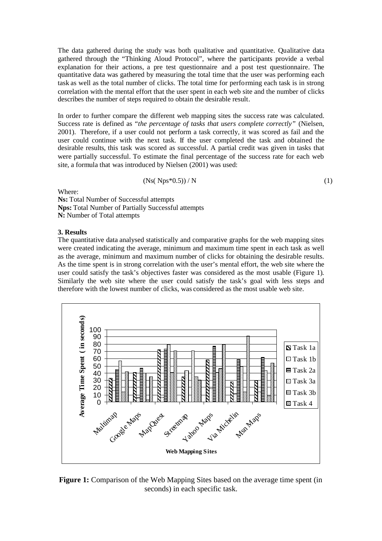The data gathered during the study was both qualitative and quantitative. Qualitative data gathered through the "Thinking Aloud Protocol", where the participants provide a verbal explanation for their actions, a pre test questionnaire and a post test questionnaire. The quantitative data was gathered by measuring the total time that the user was performing each task as well as the total number of clicks. The total time for performing each task is in strong correlation with the mental effort that the user spent in each web site and the number of clicks describes the number of steps required to obtain the desirable result.

In order to further compare the different web mapping sites the success rate was calculated. Success rate is defined as *"the percentage of tasks that users complete correctly"* (Nielsen, 2001). Therefore, if a user could not perform a task correctly, it was scored as fail and the user could continue with the next task. If the user completed the task and obtained the desirable results, this task was scored as successful. A partial credit was given in tasks that were partially successful. To estimate the final percentage of the success rate for each web site, a formula that was introduced by Nielsen (2001) was used:

$$
(Ns(\ Nps^*0.5))/N \tag{1}
$$

Where:

**Ns:** Total Number of Successful attempts **Nps:** Total Number of Partially Successful attempts **N:** Number of Total attempts

#### **3. Results**

The quantitative data analysed statistically and comparative graphs for the web mapping sites were created indicating the average, minimum and maximum time spent in each task as well as the average, minimum and maximum number of clicks for obtaining the desirable results. As the time spent is in strong correlation with the user's mental effort, the web site where the user could satisfy the task's objectives faster was considered as the most usable (Figure 1). Similarly the web site where the user could satisfy the task's goal with less steps and therefore with the lowest number of clicks, was considered as the most usable web site.



**Figure 1:** Comparison of the Web Mapping Sites based on the average time spent (in seconds) in each specific task.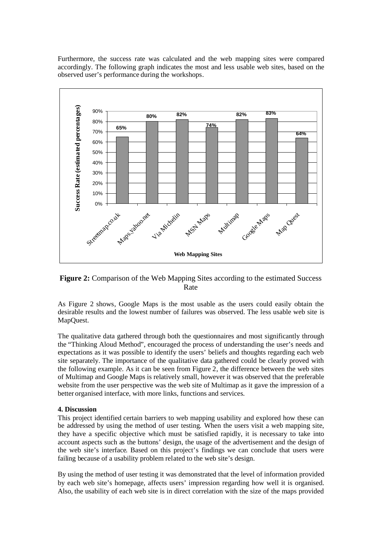Furthermore, the success rate was calculated and the web mapping sites were compared accordingly. The following graph indicates the most and less usable web sites, based on the observed user's performance during the workshops.



**Figure 2:** Comparison of the Web Mapping Sites according to the estimated Success Rate

As Figure 2 shows, Google Maps is the most usable as the users could easily obtain the desirable results and the lowest number of failures was observed. The less usable web site is MapQuest.

The qualitative data gathered through both the questionnaires and most significantly through the "Thinking Aloud Method", encouraged the process of understanding the user's needs and expectations as it was possible to identify the users' beliefs and thoughts regarding each web site separately. The importance of the qualitative data gathered could be clearly proved with the following example. As it can be seen from Figure 2, the difference between the web sites of Multimap and Google Maps is relatively small, however it was observed that the preferable website from the user perspective was the web site of Multimap as it gave the impression of a better organised interface, with more links, functions and services.

## **4. Discussion**

This project identified certain barriers to web mapping usability and explored how these can be addressed by using the method of user testing. When the users visit a web mapping site, they have a specific objective which must be satisfied rapidly, it is necessary to take into account aspects such as the buttons' design, the usage of the advertisement and the design of the web site's interface. Based on this project's findings we can conclude that users were failing because of a usability problem related to the web site's design.

By using the method of user testing it was demonstrated that the level of information provided by each web site's homepage, affects users' impression regarding how well it is organised. Also, the usability of each web site is in direct correlation with the size of the maps provided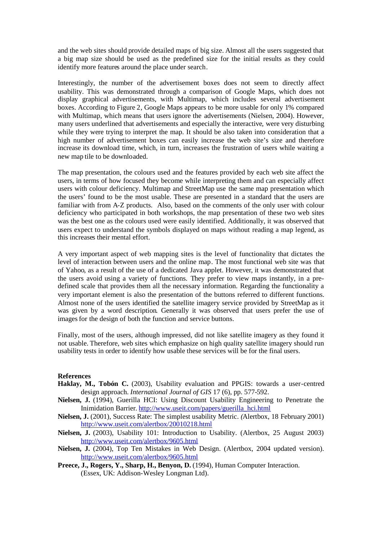and the web sites should provide detailed maps of big size. Almost all the users suggested that a big map size should be used as the predefined size for the initial results as they could identify more features around the place under search.

Interestingly, the number of the advertisement boxes does not seem to directly affect usability. This was demonstrated through a comparison of Google Maps, which does not display graphical advertisements, with Multimap, which includes several advertisement boxes. According to Figure 2, Google Maps appears to be more usable for only 1% compared with Multimap, which means that users ignore the advertisements (Nielsen, 2004). However, many users underlined that advertisements and especially the interactive, were very disturbing while they were trying to interpret the map. It should be also taken into consideration that a high number of advertisement boxes can easily increase the web site's size and therefore increase its download time, which, in turn, increases the frustration of users while waiting a new map tile to be downloaded.

The map presentation, the colours used and the features provided by each web site affect the users, in terms of how focused they become while interpreting them and can especially affect users with colour deficiency. Multimap and StreetMap use the same map presentation which the users' found to be the most usable. These are presented in a standard that the users are familiar with from A-Z products. Also, based on the comments of the only user with colour deficiency who participated in both workshops, the map presentation of these two web sites was the best one as the colours used were easily identified. Additionally, it was observed that users expect to understand the symbols displayed on maps without reading a map legend, as this increases their mental effort.

A very important aspect of web mapping sites is the level of functionality that dictates the level of interaction between users and the online map. The most functional web site was that of Yahoo, as a result of the use of a dedicated Java applet. However, it was demonstrated that the users avoid using a variety of functions. They prefer to view maps instantly, in a predefined scale that provides them all the necessary information. Regarding the functionality a very important element is also the presentation of the buttons referred to different functions. Almost none of the users identified the satellite imagery service provided by StreetMap as it was given by a word description. Generally it was observed that users prefer the use of images for the design of both the function and service buttons.

Finally, most of the users, although impressed, did not like satellite imagery as they found it not usable. Therefore, web sites which emphasize on high quality satellite imagery should run usability tests in order to identify how usable these services will be for the final users.

#### **References**

- **Haklay, M., Tobón C.** (2003), Usability evaluation and PPGIS: towards a user-centred design approach. *International Journal of GIS* 17 (6), pp. 577-592.
- **Nielsen, J.** (1994), Guerilla HCI: Using Discount Usability Engineering to Penetrate the Inimidation Barrier. [http://www.useit.com/papers/guerilla\\_hci.html](http://www.useit.com/papers/guerilla_hci.html)
- **Nielsen, J.** (2001), Success Rate: The simplest usability Metric. *(*Alertbox, 18 February 2001) <http://www.useit.com/alertbox/20010218.html>
- **Nielsen, J.** (2003), Usability 101: Introduction to Usability. (Alertbox, 25 August 2003) <http://www.useit.com/alertbox/9605.html>
- **Nielsen, J.** (2004), Top Ten Mistakes in Web Design. (Alertbox, 2004 updated version). <http://www.useit.com/alertbox/9605.html>
- **Preece, J., Rogers, Y., Sharp, H., Benyon, D.** (1994), Human Computer Interaction. (Essex, UK: Addison-Wesley Longman Ltd).